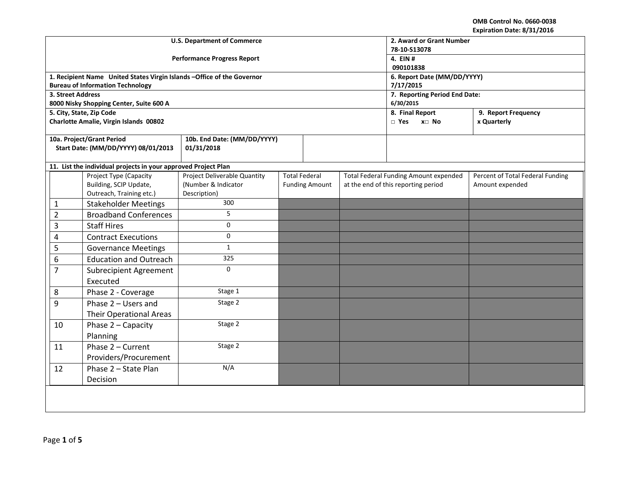|                   |                                                                                       | <b>U.S. Department of Commerce</b> | 2. Award or Grant Number<br>78-10-S13078 |                       |  |                                                     |                                  |  |
|-------------------|---------------------------------------------------------------------------------------|------------------------------------|------------------------------------------|-----------------------|--|-----------------------------------------------------|----------------------------------|--|
|                   |                                                                                       | <b>Performance Progress Report</b> |                                          | 4. EIN #<br>090101838 |  |                                                     |                                  |  |
|                   | 1. Recipient Name United States Virgin Islands - Office of the Governor               |                                    |                                          |                       |  | 6. Report Date (MM/DD/YYYY)                         |                                  |  |
|                   | <b>Bureau of Information Technology</b>                                               |                                    |                                          |                       |  | 7/17/2015                                           |                                  |  |
| 3. Street Address |                                                                                       |                                    |                                          |                       |  | 7. Reporting Period End Date:                       |                                  |  |
|                   | 8000 Nisky Shopping Center, Suite 600 A<br>5. City, State, Zip Code                   |                                    |                                          |                       |  | 6/30/2015<br>8. Final Report<br>9. Report Frequency |                                  |  |
|                   | Charlotte Amalie, Virgin Islands 00802                                                |                                    |                                          |                       |  | $\Box$ Yes<br>x□ No                                 | x Quarterly                      |  |
|                   |                                                                                       |                                    |                                          |                       |  |                                                     |                                  |  |
|                   | 10a. Project/Grant Period                                                             | 10b. End Date: (MM/DD/YYYY)        |                                          |                       |  |                                                     |                                  |  |
|                   | Start Date: (MM/DD/YYYY) 08/01/2013                                                   | 01/31/2018                         |                                          |                       |  |                                                     |                                  |  |
|                   | 11. List the individual projects in your approved Project Plan                        |                                    |                                          |                       |  |                                                     |                                  |  |
|                   | Project Type (Capacity<br><b>Project Deliverable Quantity</b><br><b>Total Federal</b> |                                    |                                          |                       |  | <b>Total Federal Funding Amount expended</b>        | Percent of Total Federal Funding |  |
|                   | Building, SCIP Update,                                                                | (Number & Indicator                |                                          | <b>Funding Amount</b> |  | at the end of this reporting period                 | Amount expended                  |  |
|                   | Outreach, Training etc.)                                                              | Description)                       |                                          |                       |  |                                                     |                                  |  |
| 1                 | <b>Stakeholder Meetings</b>                                                           | 300                                |                                          |                       |  |                                                     |                                  |  |
| $\overline{2}$    | <b>Broadband Conferences</b>                                                          | 5                                  |                                          |                       |  |                                                     |                                  |  |
| 3                 | <b>Staff Hires</b>                                                                    | $\mathbf 0$                        |                                          |                       |  |                                                     |                                  |  |
| 4                 | <b>Contract Executions</b>                                                            | $\mathbf 0$                        |                                          |                       |  |                                                     |                                  |  |
| 5                 | <b>Governance Meetings</b>                                                            | $\mathbf{1}$                       |                                          |                       |  |                                                     |                                  |  |
| 6                 | <b>Education and Outreach</b>                                                         | 325                                |                                          |                       |  |                                                     |                                  |  |
| $\overline{7}$    | <b>Subrecipient Agreement</b>                                                         | $\Omega$                           |                                          |                       |  |                                                     |                                  |  |
|                   | Executed                                                                              |                                    |                                          |                       |  |                                                     |                                  |  |
| 8                 | Phase 2 - Coverage                                                                    | Stage 1                            |                                          |                       |  |                                                     |                                  |  |
| 9                 | Phase 2 - Users and                                                                   | Stage 2                            |                                          |                       |  |                                                     |                                  |  |
|                   | <b>Their Operational Areas</b>                                                        |                                    |                                          |                       |  |                                                     |                                  |  |
| 10                | Phase 2 - Capacity                                                                    | Stage 2                            |                                          |                       |  |                                                     |                                  |  |
|                   | Planning                                                                              |                                    |                                          |                       |  |                                                     |                                  |  |
| 11                | Phase 2 - Current                                                                     | Stage 2                            |                                          |                       |  |                                                     |                                  |  |
|                   | Providers/Procurement                                                                 |                                    |                                          |                       |  |                                                     |                                  |  |
| 12                | Phase 2 - State Plan                                                                  | N/A                                |                                          |                       |  |                                                     |                                  |  |
|                   | Decision                                                                              |                                    |                                          |                       |  |                                                     |                                  |  |
|                   |                                                                                       |                                    |                                          |                       |  |                                                     |                                  |  |
|                   |                                                                                       |                                    |                                          |                       |  |                                                     |                                  |  |
|                   |                                                                                       |                                    |                                          |                       |  |                                                     |                                  |  |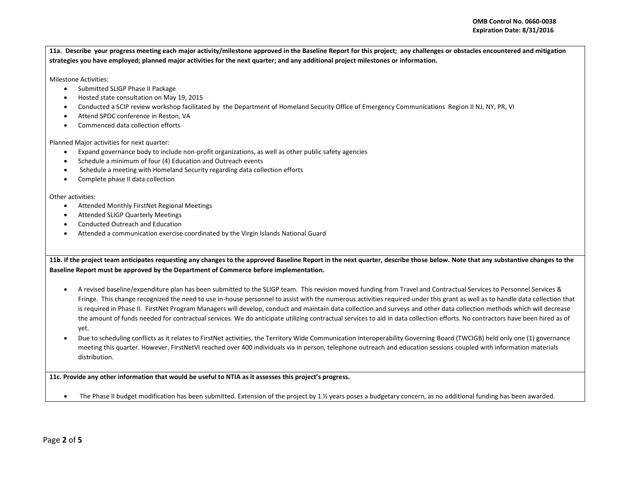**11a. Describe your progress meeting each major activity/milestone approved in the Baseline Report for this project; any challenges or obstacles encountered and mitigation strategies you have employed; planned major activities for the next quarter; and any additional project milestones or information.** 

Milestone Activities:

- Submitted SLIGP Phase II Package
- Hosted state consultation on May 19, 2015
- Conducted a SCIP review workshop facilitated by the Department of Homeland Security Office of Emergency Communications Region II NJ, NY, PR, VI
- Attend SPOC conference in Reston, VA
- Commenced data collection efforts

Planned Major activities for next quarter:

- Expand governance body to include non-profit organizations, as well as other public safety agencies
- Schedule a minimum of four (4) Education and Outreach events
- Schedule a meeting with Homeland Security regarding data collection efforts
- Complete phase II data collection

Other activities:

- Attended Monthly FirstNet Regional Meetings
- Attended SLIGP Quarterly Meetings
- Conducted Outreach and Education
- Attended a communication exercise coordinated by the Virgin Islands National Guard

**11b. If the project team anticipates requesting any changes to the approved Baseline Report in the next quarter, describe those below. Note that any substantive changes to the Baseline Report must be approved by the Department of Commerce before implementation.** 

- A revised baseline/expenditure plan has been submitted to the SLIGP team. This revision moved funding from Travel and Contractual Services to Personnel Services & Fringe. This change recognized the need to use in-house personnel to assist with the numerous activities required under this grant as well as to handle data collection that is required in Phase II. FirstNet Program Managers will develop, conduct and maintain data collection and surveys and other data collection methods which will decrease the amount of funds needed for contractual services. We do anticipate utilizing contractual services to aid in data collection efforts. No contractors have been hired as of yet.
- Due to scheduling conflicts as it relates to FirstNet activities, the Territory Wide Communication Interoperability Governing Board (TWCIGB) held only one (1) governance meeting this quarter. However, FirstNetVI reached over 400 individuals via in person, telephone outreach and education sessions coupled with information materials distribution.

**11c. Provide any other information that would be useful to NTIA as it assesses this project's progress.** 

The Phase II budget modification has been submitted. Extension of the project by 1  $\frac{1}{2}$  years poses a budgetary concern, as no additional funding has been awarded.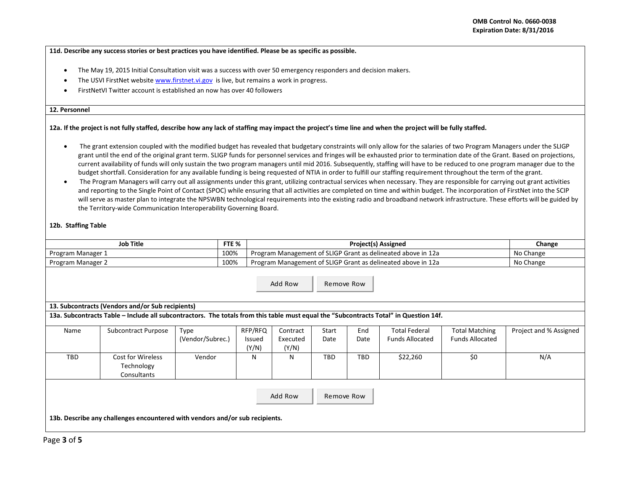**11d. Describe any success stories or best practices you have identified. Please be as specific as possible.** 

- The May 19, 2015 Initial Consultation visit was a success with over 50 emergency responders and decision makers.
- The USVI FirstNet websit[e www.firstnet.vi.gov](http://www.firstnet.vi.gov/) is live, but remains a work in progress.
- FirstNetVI Twitter account is established an now has over 40 followers

#### **12. Personnel**

### **12a. If the project is not fully staffed, describe how any lack of staffing may impact the project's time line and when the project will be fully staffed.**

- The grant extension coupled with the modified budget has revealed that budgetary constraints will only allow for the salaries of two Program Managers under the SLIGP grant until the end of the original grant term. SLIGP funds for personnel services and fringes will be exhausted prior to termination date of the Grant. Based on projections, current availability of funds will only sustain the two program managers until mid 2016. Subsequently, staffing will have to be reduced to one program manager due to the budget shortfall. Consideration for any available funding is being requested of NTIA in order to fulfill our staffing requirement throughout the term of the grant.
- The Program Managers will carry out all assignments under this grant, utilizing contractual services when necessary. They are responsible for carrying out grant activities and reporting to the Single Point of Contact (SPOC) while ensuring that all activities are completed on time and within budget. The incorporation of FirstNet into the SCIP will serve as master plan to integrate the NPSWBN technological requirements into the existing radio and broadband network infrastructure. These efforts will be guided by the Territory-wide Communication Interoperability Governing Board.

# **12b. Staffing Table**

| <b>Job Title</b>                                                                                                                      |                                                |                  | FTE %           |                                                              | Change |            |                        |                        |                        |  |
|---------------------------------------------------------------------------------------------------------------------------------------|------------------------------------------------|------------------|-----------------|--------------------------------------------------------------|--------|------------|------------------------|------------------------|------------------------|--|
| Program Manager 1                                                                                                                     |                                                |                  | 100%            | Program Management of SLIGP Grant as delineated above in 12a |        |            |                        |                        | No Change              |  |
| Program Manager 2                                                                                                                     |                                                |                  | 100%            | Program Management of SLIGP Grant as delineated above in 12a |        |            |                        |                        | No Change              |  |
| Add Row<br>Remove Row                                                                                                                 |                                                |                  |                 |                                                              |        |            |                        |                        |                        |  |
| 13. Subcontracts (Vendors and/or Sub recipients)                                                                                      |                                                |                  |                 |                                                              |        |            |                        |                        |                        |  |
| 13a. Subcontracts Table – Include all subcontractors. The totals from this table must equal the "Subcontracts Total" in Question 14f. |                                                |                  |                 |                                                              |        |            |                        |                        |                        |  |
| Name                                                                                                                                  | <b>Subcontract Purpose</b>                     | <b>Type</b>      | RFP/RFQ         | Contract                                                     | Start  | End        | <b>Total Federal</b>   | <b>Total Matching</b>  | Project and % Assigned |  |
|                                                                                                                                       |                                                | (Vendor/Subrec.) | Issued<br>(Y/N) | Executed<br>(Y/N)                                            | Date   | Date       | <b>Funds Allocated</b> | <b>Funds Allocated</b> |                        |  |
| TBD                                                                                                                                   | Cost for Wireless<br>Technology<br>Consultants | Vendor           | N               | N                                                            | TBD    | <b>TBD</b> | \$22,260               | \$0                    | N/A                    |  |
| Add Row<br>Remove Row<br>13b. Describe any challenges encountered with vendors and/or sub recipients.                                 |                                                |                  |                 |                                                              |        |            |                        |                        |                        |  |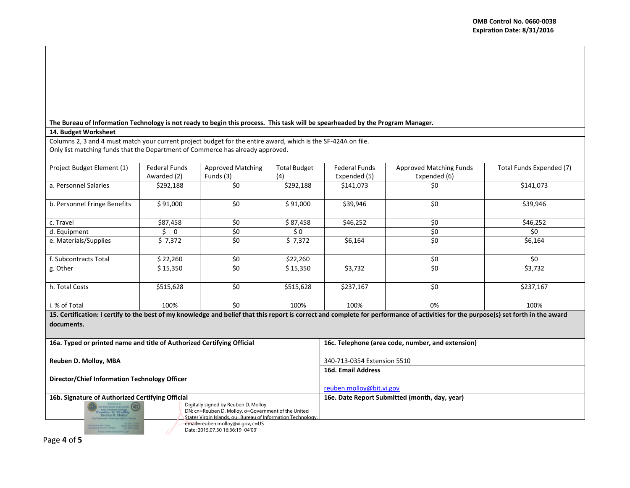### **The Bureau of Information Technology is not ready to begin this process. This task will be spearheaded by the Program Manager.**

# **14. Budget Worksheet**

Columns 2, 3 and 4 must match your current project budget for the entire award, which is the SF-424A on file. Only list matching funds that the Department of Commerce has already approved.

| Project Budget Element (1)                                                                                                                                                           | <b>Federal Funds</b>          | Approved Matching | <b>Total Budget</b>                               | <b>Federal Funds</b> | Approved Matching Funds | Total Funds Expended (7) |  |  |  |
|--------------------------------------------------------------------------------------------------------------------------------------------------------------------------------------|-------------------------------|-------------------|---------------------------------------------------|----------------------|-------------------------|--------------------------|--|--|--|
|                                                                                                                                                                                      | Awarded (2)                   | Funds (3)         | (4)                                               | Expended (5)         | Expended (6)            |                          |  |  |  |
| a. Personnel Salaries                                                                                                                                                                | \$292,188                     | \$0               | \$292,188                                         | \$141,073            | \$0                     | \$141,073                |  |  |  |
|                                                                                                                                                                                      |                               |                   |                                                   |                      |                         |                          |  |  |  |
| b. Personnel Fringe Benefits                                                                                                                                                         | \$91,000                      | \$0               | \$91,000                                          | \$39,946             | \$0                     | \$39,946                 |  |  |  |
|                                                                                                                                                                                      |                               |                   |                                                   |                      |                         |                          |  |  |  |
| c. Travel                                                                                                                                                                            | \$87,458                      | \$0               | \$87,458                                          | \$46,252             | \$0                     | \$46,252                 |  |  |  |
| d. Equipment                                                                                                                                                                         | Ś.<br>$\overline{\mathbf{0}}$ | \$0               | \$0                                               |                      | \$0                     | \$0                      |  |  |  |
| e. Materials/Supplies                                                                                                                                                                | \$7,372                       | \$0               | \$7,372                                           | \$6,164              | \$0                     | \$6,164                  |  |  |  |
|                                                                                                                                                                                      |                               |                   |                                                   |                      |                         |                          |  |  |  |
| f. Subcontracts Total                                                                                                                                                                | \$22,260                      | \$0               | \$22,260                                          |                      | \$0                     | \$0                      |  |  |  |
| g. Other                                                                                                                                                                             | \$15,350                      | \$0               | \$15,350                                          | \$3,732              | \$0                     | \$3,732                  |  |  |  |
|                                                                                                                                                                                      |                               |                   |                                                   |                      |                         |                          |  |  |  |
| h. Total Costs                                                                                                                                                                       | \$515,628                     | \$0               | \$515,628                                         | \$237,167            | \$0                     | \$237,167                |  |  |  |
|                                                                                                                                                                                      |                               |                   |                                                   |                      |                         |                          |  |  |  |
| i. % of Total                                                                                                                                                                        | 100%                          | \$0               | 100%                                              | 100%                 | 0%                      | 100%                     |  |  |  |
| 15. Certification: I certify to the best of my knowledge and belief that this report is correct and complete for performance of activities for the purpose(s) set forth in the award |                               |                   |                                                   |                      |                         |                          |  |  |  |
| documents.                                                                                                                                                                           |                               |                   |                                                   |                      |                         |                          |  |  |  |
|                                                                                                                                                                                      |                               |                   |                                                   |                      |                         |                          |  |  |  |
| 16a. Typed or printed name and title of Authorized Certifying Official                                                                                                               |                               |                   | 16c. Telephone (area code, number, and extension) |                      |                         |                          |  |  |  |
|                                                                                                                                                                                      |                               |                   |                                                   |                      |                         |                          |  |  |  |
| Reuben D. Molloy, MBA                                                                                                                                                                |                               |                   | 340-713-0354 Extension 5510                       |                      |                         |                          |  |  |  |

**16d. Email Address**

[reuben.molloy@bit.vi.gov](mailto:reuben.molloy@bit.vi.gov)

199 Estate Castle Coakley<br>International St. Costs NJ 00870

**Director/Chief Information Technology Officer**

**16b. Signature of Authorized Certifying Official 16e. Date Report Submitted (month, day, year)** Digitally signed by Reuben D. Molloy Bureau of Information Technology<br>Eublem D. *Hy Lloy*<br>Reuben D. Molloy

States Virgin Islands, ou=Bureau of Information Technology email=reuben.molloy@vi.gov, c=US

DN: cn=Reuben D. Molloy, o=Government of the United

Date: 2015.07.30 16:36:19 -04'00'